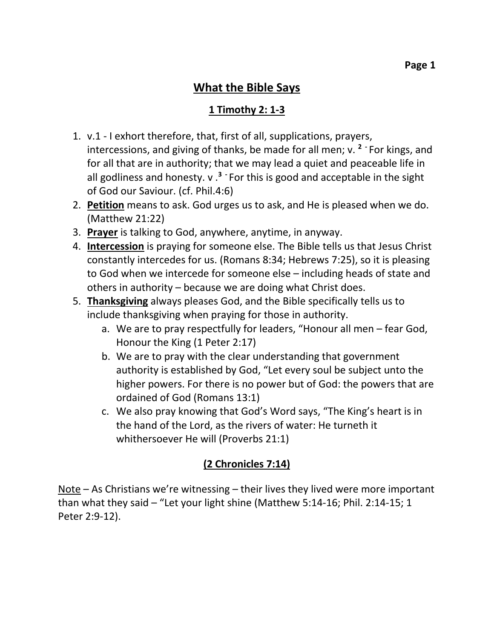#### **What the Bible Says**

#### **1 Timothy 2: 1-3**

- 1. v.1 I exhort therefore, that, first of all, supplications, prayers, intercessions, and giving of thanks, be made for all men; v. **<sup>2</sup> -** For kings, and for all that are in authority; that we may lead a quiet and peaceable life in all godliness and honesty. v .**<sup>3</sup> -** For this is good and acceptable in the sight of God our Saviour. (cf. Phil.4:6)
- 2. **Petition** means to ask. God urges us to ask, and He is pleased when we do. (Matthew 21:22)
- 3. **Prayer** is talking to God, anywhere, anytime, in anyway.
- 4. **Intercession** is praying for someone else. The Bible tells us that Jesus Christ constantly intercedes for us. (Romans 8:34; Hebrews 7:25), so it is pleasing to God when we intercede for someone else – including heads of state and others in authority – because we are doing what Christ does.
- 5. **Thanksgiving** always pleases God, and the Bible specifically tells us to include thanksgiving when praying for those in authority.
	- a. We are to pray respectfully for leaders, "Honour all men fear God, Honour the King (1 Peter 2:17)
	- b. We are to pray with the clear understanding that government authority is established by God, "Let every soul be subject unto the higher powers. For there is no power but of God: the powers that are ordained of God (Romans 13:1)
	- c. We also pray knowing that God's Word says, "The King's heart is in the hand of the Lord, as the rivers of water: He turneth it whithersoever He will (Proverbs 21:1)

### **(2 Chronicles 7:14)**

Note – As Christians we're witnessing – their lives they lived were more important than what they said – "Let your light shine (Matthew 5:14-16; Phil. 2:14-15; 1 Peter 2:9-12).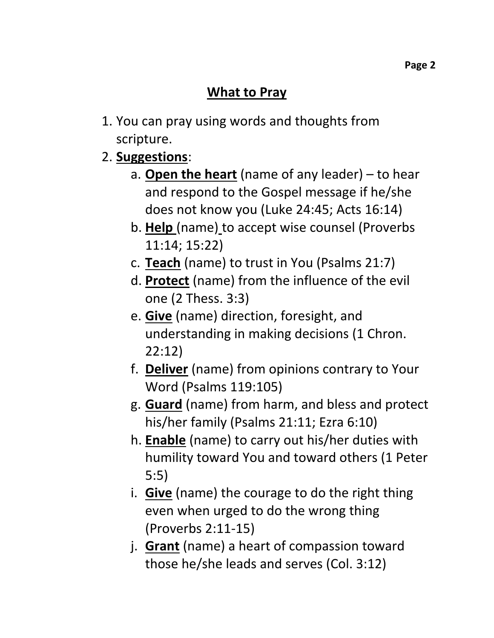## **What to Pray**

- 1. You can pray using words and thoughts from scripture.
- 2. **Suggestions**:
	- a. **Open the heart** (name of any leader) to hear and respond to the Gospel message if he/she does not know you (Luke 24:45; Acts 16:14)
	- b. **Help** (name) to accept wise counsel (Proverbs 11:14; 15:22)
	- c. **Teach** (name) to trust in You (Psalms 21:7)
	- d. **Protect** (name) from the influence of the evil one (2 Thess. 3:3)
	- e. **Give** (name) direction, foresight, and understanding in making decisions (1 Chron. 22:12)
	- f. **Deliver** (name) from opinions contrary to Your Word (Psalms 119:105)
	- g. **Guard** (name) from harm, and bless and protect his/her family (Psalms 21:11; Ezra 6:10)
	- h. **Enable** (name) to carry out his/her duties with humility toward You and toward others (1 Peter 5:5)
	- i. **Give** (name) the courage to do the right thing even when urged to do the wrong thing (Proverbs 2:11-15)
	- j. **Grant** (name) a heart of compassion toward those he/she leads and serves (Col. 3:12)